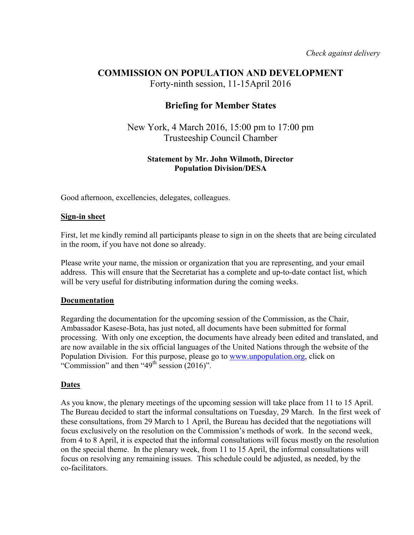# **COMMISSION ON POPULATION AND DEVELOPMENT**

Forty-ninth session, 11-15April 2016

# **Briefing for Member States**

New York, 4 March 2016, 15:00 pm to 17:00 pm Trusteeship Council Chamber

## **Statement by Mr. John Wilmoth, Director Population Division/DESA**

Good afternoon, excellencies, delegates, colleagues.

#### **Sign-in sheet**

First, let me kindly remind all participants please to sign in on the sheets that are being circulated in the room, if you have not done so already.

Please write your name, the mission or organization that you are representing, and your email address. This will ensure that the Secretariat has a complete and up-to-date contact list, which will be very useful for distributing information during the coming weeks.

### **Documentation**

Regarding the documentation for the upcoming session of the Commission, as the Chair, Ambassador Kasese-Bota, has just noted, all documents have been submitted for formal processing. With only one exception, the documents have already been edited and translated, and are now available in the six official languages of the United Nations through the website of the Population Division. For this purpose, please go to www.unpopulation.org, click on "Commission" and then " $49<sup>th</sup>$  session (2016)".

### **Dates**

As you know, the plenary meetings of the upcoming session will take place from 11 to 15 April. The Bureau decided to start the informal consultations on Tuesday, 29 March. In the first week of these consultations, from 29 March to 1 April, the Bureau has decided that the negotiations will focus exclusively on the resolution on the Commission's methods of work. In the second week, from 4 to 8 April, it is expected that the informal consultations will focus mostly on the resolution on the special theme. In the plenary week, from 11 to 15 April, the informal consultations will focus on resolving any remaining issues. This schedule could be adjusted, as needed, by the co-facilitators.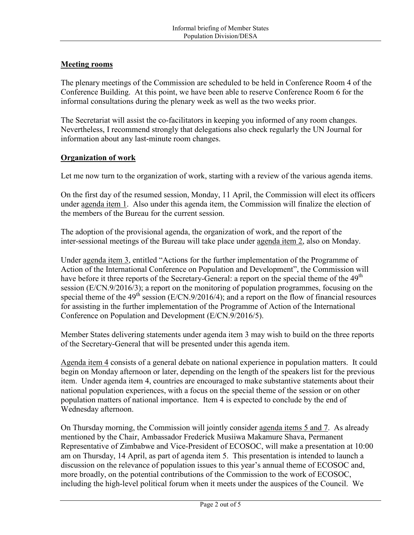## **Meeting rooms**

The plenary meetings of the Commission are scheduled to be held in Conference Room 4 of the Conference Building. At this point, we have been able to reserve Conference Room 6 for the informal consultations during the plenary week as well as the two weeks prior.

The Secretariat will assist the co-facilitators in keeping you informed of any room changes. Nevertheless, I recommend strongly that delegations also check regularly the UN Journal for information about any last-minute room changes.

### **Organization of work**

Let me now turn to the organization of work, starting with a review of the various agenda items.

On the first day of the resumed session, Monday, 11 April, the Commission will elect its officers under agenda item 1. Also under this agenda item, the Commission will finalize the election of the members of the Bureau for the current session.

The adoption of the provisional agenda, the organization of work, and the report of the inter-sessional meetings of the Bureau will take place under agenda item 2, also on Monday.

Under agenda item 3, entitled "Actions for the further implementation of the Programme of Action of the International Conference on Population and Development", the Commission will have before it three reports of the Secretary-General: a report on the special theme of the 49<sup>th</sup> session (E/CN.9/2016/3); a report on the monitoring of population programmes, focusing on the special theme of the  $49<sup>th</sup>$  session (E/CN.9/2016/4); and a report on the flow of financial resources for assisting in the further implementation of the Programme of Action of the International Conference on Population and Development (E/CN.9/2016/5).

Member States delivering statements under agenda item 3 may wish to build on the three reports of the Secretary-General that will be presented under this agenda item.

Agenda item 4 consists of a general debate on national experience in population matters. It could begin on Monday afternoon or later, depending on the length of the speakers list for the previous item. Under agenda item 4, countries are encouraged to make substantive statements about their national population experiences, with a focus on the special theme of the session or on other population matters of national importance. Item 4 is expected to conclude by the end of Wednesday afternoon.

On Thursday morning, the Commission will jointly consider agenda items 5 and 7. As already mentioned by the Chair, Ambassador Frederick Musiiwa Makamure Shava, Permanent Representative of Zimbabwe and Vice-President of ECOSOC, will make a presentation at 10:00 am on Thursday, 14 April, as part of agenda item 5. This presentation is intended to launch a discussion on the relevance of population issues to this year's annual theme of ECOSOC and, more broadly, on the potential contributions of the Commission to the work of ECOSOC, including the high-level political forum when it meets under the auspices of the Council. We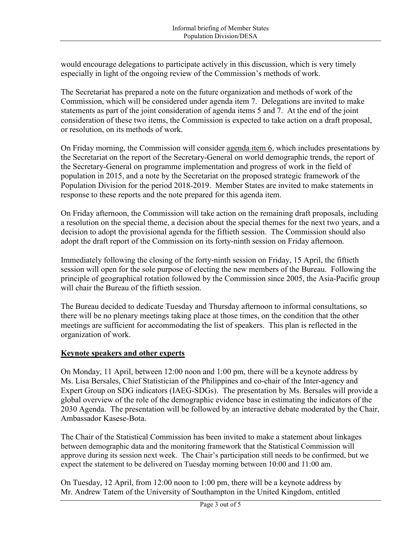would encourage delegations to participate actively in this discussion, which is very timely especially in light of the ongoing review of the Commission's methods of work.

The Secretariat has prepared a note on the future organization and methods of work of the Commission, which will be considered under agenda item 7. Delegations are invited to make statements as part of the joint consideration of agenda items 5 and 7. At the end of the joint consideration of these two items, the Commission is expected to take action on a draft proposal, or resolution, on its methods of work.

On Friday morning, the Commission will consider agenda item 6, which includes presentations by the Secretariat on the report of the Secretary-General on world demographic trends, the report of the Secretary-General on programme implementation and progress of work in the field of population in 2015, and a note by the Secretariat on the proposed strategic framework of the Population Division for the period 2018-2019. Member States are invited to make statements in response to these reports and the note prepared for this agenda item.

On Friday afternoon, the Commission will take action on the remaining draft proposals, including a resolution on the special theme, a decision about the special themes for the next two years, and a decision to adopt the provisional agenda for the fiftieth session. The Commission should also adopt the draft report of the Commission on its forty-ninth session on Friday afternoon.

Immediately following the closing of the forty-ninth session on Friday, 15 April, the fiftieth session will open for the sole purpose of electing the new members of the Bureau. Following the principle of geographical rotation followed by the Commission since 2005, the Asia-Pacific group will chair the Bureau of the fiftieth session.

The Bureau decided to dedicate Tuesday and Thursday afternoon to informal consultations, so there will be no plenary meetings taking place at those times, on the condition that the other meetings are sufficient for accommodating the list of speakers. This plan is reflected in the organization of work.

### **Keynote speakers and other experts**

On Monday, 11 April, between 12:00 noon and 1:00 pm, there will be a keynote address by Ms. Lisa Bersales, Chief Statistician of the Philippines and co-chair of the Inter-agency and Expert Group on SDG indicators (IAEG-SDGs). The presentation by Ms. Bersales will provide a global overview of the role of the demographic evidence base in estimating the indicators of the 2030 Agenda. The presentation will be followed by an interactive debate moderated by the Chair, Ambassador Kasese-Bota.

The Chair of the Statistical Commission has been invited to make a statement about linkages between demographic data and the monitoring framework that the Statistical Commission will approve during its session next week. The Chair's participation still needs to be confirmed, but we expect the statement to be delivered on Tuesday morning between 10:00 and 11:00 am.

On Tuesday, 12 April, from 12:00 noon to 1:00 pm, there will be a keynote address by Mr. Andrew Tatem of the University of Southampton in the United Kingdom, entitled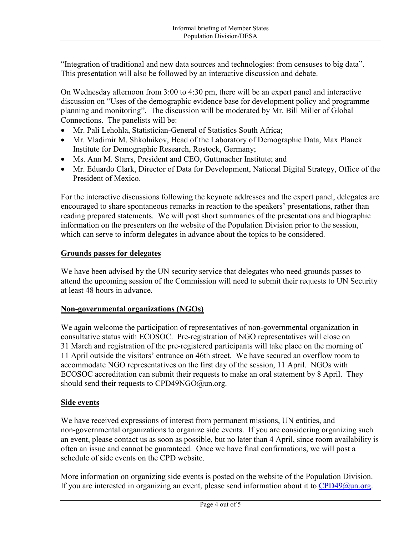"Integration of traditional and new data sources and technologies: from censuses to big data". This presentation will also be followed by an interactive discussion and debate.

On Wednesday afternoon from 3:00 to 4:30 pm, there will be an expert panel and interactive discussion on "Uses of the demographic evidence base for development policy and programme planning and monitoring". The discussion will be moderated by Mr. Bill Miller of Global Connections. The panelists will be:

- Mr. Pali Lehohla, Statistician-General of Statistics South Africa;
- Mr. Vladimir M. Shkolnikov, Head of the Laboratory of Demographic Data, Max Planck Institute for Demographic Research, Rostock, Germany;
- Ms. Ann M. Starrs, President and CEO, Guttmacher Institute; and
- Mr. Eduardo Clark, Director of Data for Development, National Digital Strategy, Office of the President of Mexico.

For the interactive discussions following the keynote addresses and the expert panel, delegates are encouraged to share spontaneous remarks in reaction to the speakers' presentations, rather than reading prepared statements. We will post short summaries of the presentations and biographic information on the presenters on the website of the Population Division prior to the session, which can serve to inform delegates in advance about the topics to be considered.

#### **Grounds passes for delegates**

We have been advised by the UN security service that delegates who need grounds passes to attend the upcoming session of the Commission will need to submit their requests to UN Security at least 48 hours in advance.

### **Non-governmental organizations (NGOs)**

We again welcome the participation of representatives of non-governmental organization in consultative status with ECOSOC. Pre-registration of NGO representatives will close on 31 March and registration of the pre-registered participants will take place on the morning of 11 April outside the visitors' entrance on 46th street. We have secured an overflow room to accommodate NGO representatives on the first day of the session, 11 April. NGOs with ECOSOC accreditation can submit their requests to make an oral statement by 8 April. They should send their requests to CPD49NGO@un.org.

#### **Side events**

We have received expressions of interest from permanent missions, UN entities, and non-governmental organizations to organize side events. If you are considering organizing such an event, please contact us as soon as possible, but no later than 4 April, since room availability is often an issue and cannot be guaranteed. Once we have final confirmations, we will post a schedule of side events on the CPD website.

More information on organizing side events is posted on the website of the Population Division. If you are interested in organizing an event, please send information about it to  $CPD49@$ un.org.